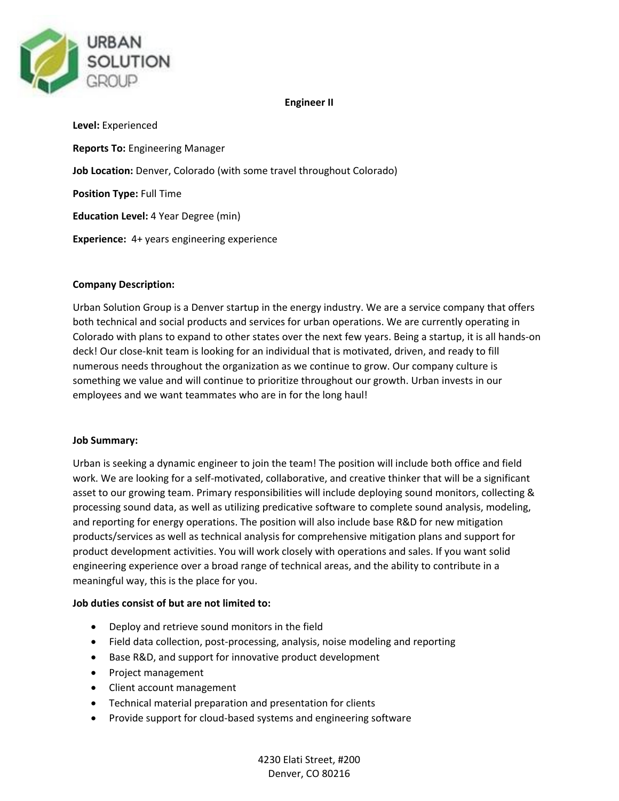

## **Engineer II**

**Level:** Experienced **Reports To:** Engineering Manager **Job Location:** Denver, Colorado (with some travel throughout Colorado) **Position Type:** Full Time **Education Level:** 4 Year Degree (min) **Experience:** 4+ years engineering experience

# **Company Description:**

Urban Solution Group is a Denver startup in the energy industry. We are a service company that offers both technical and social products and services for urban operations. We are currently operating in Colorado with plans to expand to other states over the next few years. Being a startup, it is all hands-on deck! Our close-knit team is looking for an individual that is motivated, driven, and ready to fill numerous needs throughout the organization as we continue to grow. Our company culture is something we value and will continue to prioritize throughout our growth. Urban invests in our employees and we want teammates who are in for the long haul!

## **Job Summary:**

Urban is seeking a dynamic engineer to join the team! The position will include both office and field work. We are looking for a self-motivated, collaborative, and creative thinker that will be a significant asset to our growing team. Primary responsibilities will include deploying sound monitors, collecting & processing sound data, as well as utilizing predicative software to complete sound analysis, modeling, and reporting for energy operations. The position will also include base R&D for new mitigation products/services as well as technical analysis for comprehensive mitigation plans and support for product development activities. You will work closely with operations and sales. If you want solid engineering experience over a broad range of technical areas, and the ability to contribute in a meaningful way, this is the place for you.

# **Job duties consist of but are not limited to:**

- Deploy and retrieve sound monitors in the field
- Field data collection, post-processing, analysis, noise modeling and reporting
- Base R&D, and support for innovative product development
- Project management
- Client account management
- Technical material preparation and presentation for clients
- Provide support for cloud-based systems and engineering software